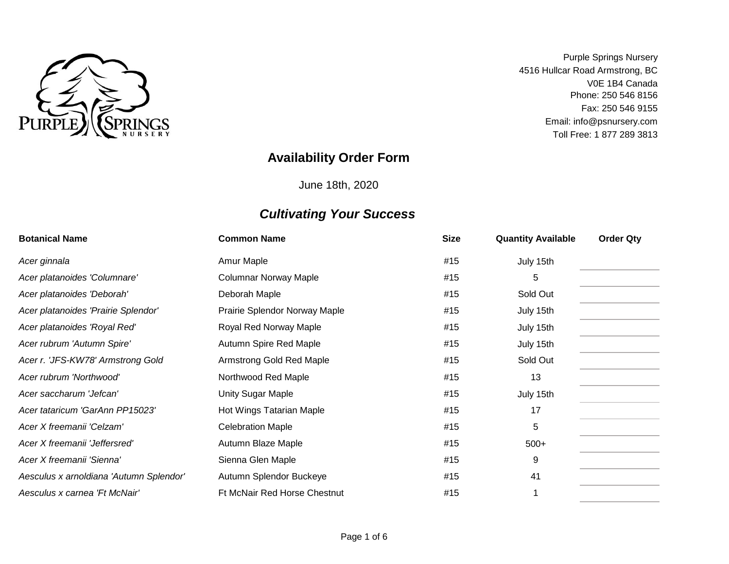

Toll Free: 1 877 289 3813 V0E 1B4 Canada Phone: 250 546 8156 Email: info@psnursery.com Purple Springs Nursery 4516 Hullcar Road Armstrong, BC Fax: 250 546 9155

### **Availability Order Form**

June 18th, 2020

| <b>Botanical Name</b>                   | <b>Common Name</b>            | <b>Size</b> | <b>Quantity Available</b> | <b>Order Qty</b> |
|-----------------------------------------|-------------------------------|-------------|---------------------------|------------------|
| Acer ginnala                            | Amur Maple                    | #15         | July 15th                 |                  |
| Acer platanoides 'Columnare'            | <b>Columnar Norway Maple</b>  | #15         | 5                         |                  |
| Acer platanoides 'Deborah'              | Deborah Maple                 | #15         | Sold Out                  |                  |
| Acer platanoides 'Prairie Splendor'     | Prairie Splendor Norway Maple | #15         | July 15th                 |                  |
| Acer platanoides 'Royal Red'            | Royal Red Norway Maple        | #15         | July 15th                 |                  |
| Acer rubrum 'Autumn Spire'              | Autumn Spire Red Maple        | #15         | July 15th                 |                  |
| Acer r. 'JFS-KW78' Armstrong Gold       | Armstrong Gold Red Maple      | #15         | Sold Out                  |                  |
| Acer rubrum 'Northwood'                 | Northwood Red Maple           | #15         | 13                        |                  |
| Acer saccharum 'Jefcan'                 | Unity Sugar Maple             | #15         | July 15th                 |                  |
| Acer tataricum 'GarAnn PP15023'         | Hot Wings Tatarian Maple      | #15         | 17                        |                  |
| Acer X freemanii 'Celzam'               | <b>Celebration Maple</b>      | #15         | 5                         |                  |
| Acer X freemanii 'Jeffersred'           | Autumn Blaze Maple            | #15         | $500+$                    |                  |
| Acer X freemanii 'Sienna'               | Sienna Glen Maple             | #15         | 9                         |                  |
| Aesculus x arnoldiana 'Autumn Splendor' | Autumn Splendor Buckeye       | #15         | 41                        |                  |
| Aesculus x carnea 'Ft McNair'           | Ft McNair Red Horse Chestnut  | #15         |                           |                  |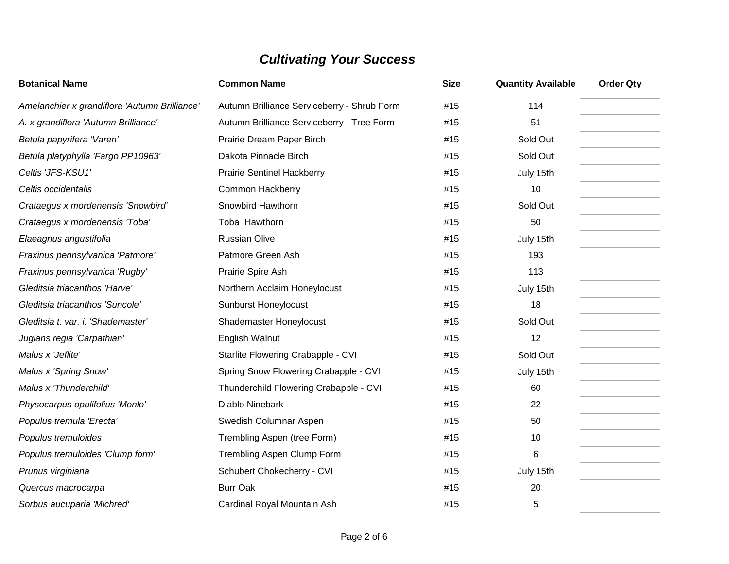| <b>Botanical Name</b>                         | <b>Common Name</b>                          | <b>Size</b> | <b>Quantity Available</b> | <b>Order Qty</b> |
|-----------------------------------------------|---------------------------------------------|-------------|---------------------------|------------------|
| Amelanchier x grandiflora 'Autumn Brilliance' | Autumn Brilliance Serviceberry - Shrub Form | #15         | 114                       |                  |
| A. x grandiflora 'Autumn Brilliance'          | Autumn Brilliance Serviceberry - Tree Form  | #15         | 51                        |                  |
| Betula papyrifera 'Varen'                     | Prairie Dream Paper Birch                   | #15         | Sold Out                  |                  |
| Betula platyphylla 'Fargo PP10963'            | Dakota Pinnacle Birch                       | #15         | Sold Out                  |                  |
| Celtis 'JFS-KSU1'                             | <b>Prairie Sentinel Hackberry</b>           | #15         | July 15th                 |                  |
| Celtis occidentalis                           | <b>Common Hackberry</b>                     | #15         | 10                        |                  |
| Crataegus x mordenensis 'Snowbird'            | Snowbird Hawthorn                           | #15         | Sold Out                  |                  |
| Crataegus x mordenensis 'Toba'                | Toba Hawthorn                               | #15         | 50                        |                  |
| Elaeagnus angustifolia                        | <b>Russian Olive</b>                        | #15         | July 15th                 |                  |
| Fraxinus pennsylvanica 'Patmore'              | Patmore Green Ash                           | #15         | 193                       |                  |
| Fraxinus pennsylvanica 'Rugby'                | Prairie Spire Ash                           | #15         | 113                       |                  |
| Gleditsia triacanthos 'Harve'                 | Northern Acclaim Honeylocust                | #15         | July 15th                 |                  |
| Gleditsia triacanthos 'Suncole'               | <b>Sunburst Honeylocust</b>                 | #15         | 18                        |                  |
| Gleditsia t. var. i. 'Shademaster'            | Shademaster Honeylocust                     | #15         | Sold Out                  |                  |
| Juglans regia 'Carpathian'                    | English Walnut                              | #15         | 12                        |                  |
| Malus x 'Jeflite'                             | Starlite Flowering Crabapple - CVI          | #15         | Sold Out                  |                  |
| Malus x 'Spring Snow'                         | Spring Snow Flowering Crabapple - CVI       | #15         | July 15th                 |                  |
| Malus x 'Thunderchild'                        | Thunderchild Flowering Crabapple - CVI      | #15         | 60                        |                  |
| Physocarpus opulifolius 'Monlo'               | Diablo Ninebark                             | #15         | 22                        |                  |
| Populus tremula 'Erecta'                      | Swedish Columnar Aspen                      | #15         | 50                        |                  |
| Populus tremuloides                           | Trembling Aspen (tree Form)                 | #15         | 10                        |                  |
| Populus tremuloides 'Clump form'              | Trembling Aspen Clump Form                  | #15         | 6                         |                  |
| Prunus virginiana                             | Schubert Chokecherry - CVI                  | #15         | July 15th                 |                  |
| Quercus macrocarpa                            | <b>Burr Oak</b>                             | #15         | 20                        |                  |
| Sorbus aucuparia 'Michred'                    | Cardinal Royal Mountain Ash                 | #15         | 5                         |                  |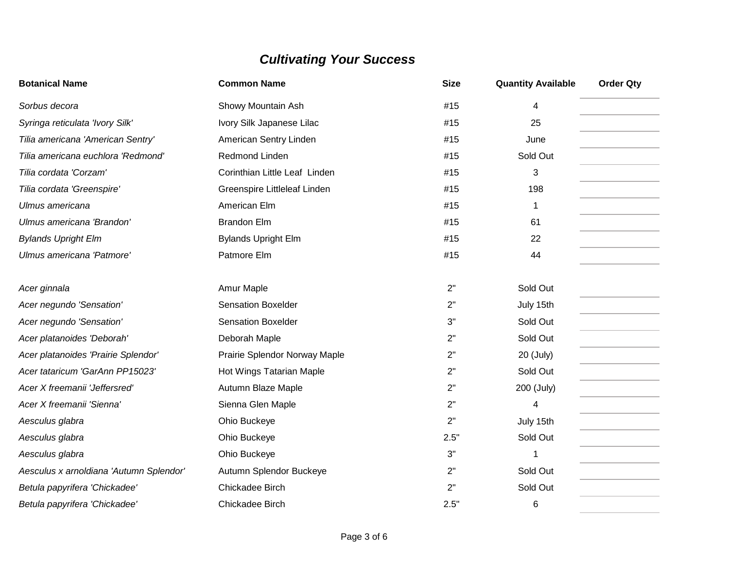| <b>Botanical Name</b>                   | <b>Common Name</b>            | <b>Size</b> | <b>Quantity Available</b> | <b>Order Qty</b> |
|-----------------------------------------|-------------------------------|-------------|---------------------------|------------------|
| Sorbus decora                           | Showy Mountain Ash            | #15         | 4                         |                  |
| Syringa reticulata 'Ivory Silk'         | Ivory Silk Japanese Lilac     | #15         | 25                        |                  |
| Tilia americana 'American Sentry'       | American Sentry Linden        | #15         | June                      |                  |
| Tilia americana euchlora 'Redmond'      | Redmond Linden                | #15         | Sold Out                  |                  |
| Tilia cordata 'Corzam'                  | Corinthian Little Leaf Linden | #15         | 3                         |                  |
| Tilia cordata 'Greenspire'              | Greenspire Littleleaf Linden  | #15         | 198                       |                  |
| Ulmus americana                         | American Elm                  | #15         | 1                         |                  |
| Ulmus americana 'Brandon'               | <b>Brandon Elm</b>            | #15         | 61                        |                  |
| <b>Bylands Upright Elm</b>              | <b>Bylands Upright Elm</b>    | #15         | 22                        |                  |
| Ulmus americana 'Patmore'               | Patmore Elm                   | #15         | 44                        |                  |
| Acer ginnala                            | Amur Maple                    | 2"          | Sold Out                  |                  |
| Acer negundo 'Sensation'                | <b>Sensation Boxelder</b>     | 2"          | July 15th                 |                  |
| Acer negundo 'Sensation'                | <b>Sensation Boxelder</b>     | 3"          | Sold Out                  |                  |
| Acer platanoides 'Deborah'              | Deborah Maple                 | 2"          | Sold Out                  |                  |
| Acer platanoides 'Prairie Splendor'     | Prairie Splendor Norway Maple | 2"          | 20 (July)                 |                  |
| Acer tataricum 'GarAnn PP15023'         | Hot Wings Tatarian Maple      | 2"          | Sold Out                  |                  |
| Acer X freemanii 'Jeffersred'           | Autumn Blaze Maple            | 2"          | 200 (July)                |                  |
| Acer X freemanii 'Sienna'               | Sienna Glen Maple             | 2"          | 4                         |                  |
| Aesculus glabra                         | Ohio Buckeye                  | 2"          | July 15th                 |                  |
| Aesculus glabra                         | Ohio Buckeye                  | 2.5"        | Sold Out                  |                  |
| Aesculus glabra                         | Ohio Buckeye                  | 3"          | 1                         |                  |
| Aesculus x arnoldiana 'Autumn Splendor' | Autumn Splendor Buckeye       | 2"          | Sold Out                  |                  |
| Betula papyrifera 'Chickadee'           | Chickadee Birch               | 2"          | Sold Out                  |                  |
| Betula papyrifera 'Chickadee'           | Chickadee Birch               | 2.5"        | 6                         |                  |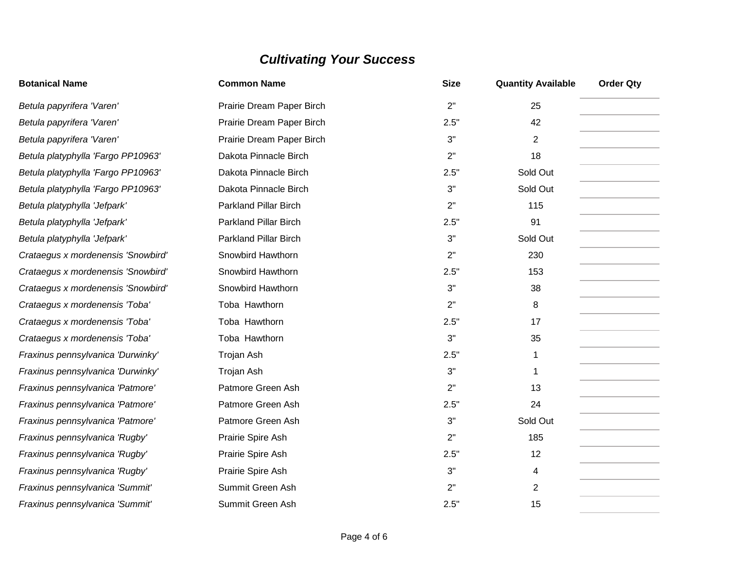| <b>Botanical Name</b>              | <b>Common Name</b>           | <b>Size</b> | <b>Quantity Available</b> | <b>Order Qty</b> |
|------------------------------------|------------------------------|-------------|---------------------------|------------------|
| Betula papyrifera 'Varen'          | Prairie Dream Paper Birch    | 2"          | 25                        |                  |
| Betula papyrifera 'Varen'          | Prairie Dream Paper Birch    | 2.5"        | 42                        |                  |
| Betula papyrifera 'Varen'          | Prairie Dream Paper Birch    | 3"          | $\overline{2}$            |                  |
| Betula platyphylla 'Fargo PP10963' | Dakota Pinnacle Birch        | 2"          | 18                        |                  |
| Betula platyphylla 'Fargo PP10963' | Dakota Pinnacle Birch        | 2.5"        | Sold Out                  |                  |
| Betula platyphylla 'Fargo PP10963' | Dakota Pinnacle Birch        | 3"          | Sold Out                  |                  |
| Betula platyphylla 'Jefpark'       | <b>Parkland Pillar Birch</b> | 2"          | 115                       |                  |
| Betula platyphylla 'Jefpark'       | <b>Parkland Pillar Birch</b> | 2.5"        | 91                        |                  |
| Betula platyphylla 'Jefpark'       | <b>Parkland Pillar Birch</b> | 3"          | Sold Out                  |                  |
| Crataegus x mordenensis 'Snowbird' | Snowbird Hawthorn            | 2"          | 230                       |                  |
| Crataegus x mordenensis 'Snowbird' | Snowbird Hawthorn            | 2.5"        | 153                       |                  |
| Crataegus x mordenensis 'Snowbird' | Snowbird Hawthorn            | 3"          | 38                        |                  |
| Crataegus x mordenensis 'Toba'     | Toba Hawthorn                | 2"          | 8                         |                  |
| Crataegus x mordenensis 'Toba'     | Toba Hawthorn                | 2.5"        | 17                        |                  |
| Crataegus x mordenensis 'Toba'     | Toba Hawthorn                | 3"          | 35                        |                  |
| Fraxinus pennsylvanica 'Durwinky'  | Trojan Ash                   | 2.5"        | 1                         |                  |
| Fraxinus pennsylvanica 'Durwinky'  | Trojan Ash                   | 3"          | 1                         |                  |
| Fraxinus pennsylvanica 'Patmore'   | Patmore Green Ash            | 2"          | 13                        |                  |
| Fraxinus pennsylvanica 'Patmore'   | Patmore Green Ash            | 2.5"        | 24                        |                  |
| Fraxinus pennsylvanica 'Patmore'   | Patmore Green Ash            | 3"          | Sold Out                  |                  |
| Fraxinus pennsylvanica 'Rugby'     | Prairie Spire Ash            | 2"          | 185                       |                  |
| Fraxinus pennsylvanica 'Rugby'     | Prairie Spire Ash            | 2.5"        | 12                        |                  |
| Fraxinus pennsylvanica 'Rugby'     | Prairie Spire Ash            | 3"          | 4                         |                  |
| Fraxinus pennsylvanica 'Summit'    | Summit Green Ash             | 2"          | $\overline{2}$            |                  |
| Fraxinus pennsylvanica 'Summit'    | Summit Green Ash             | 2.5"        | 15                        |                  |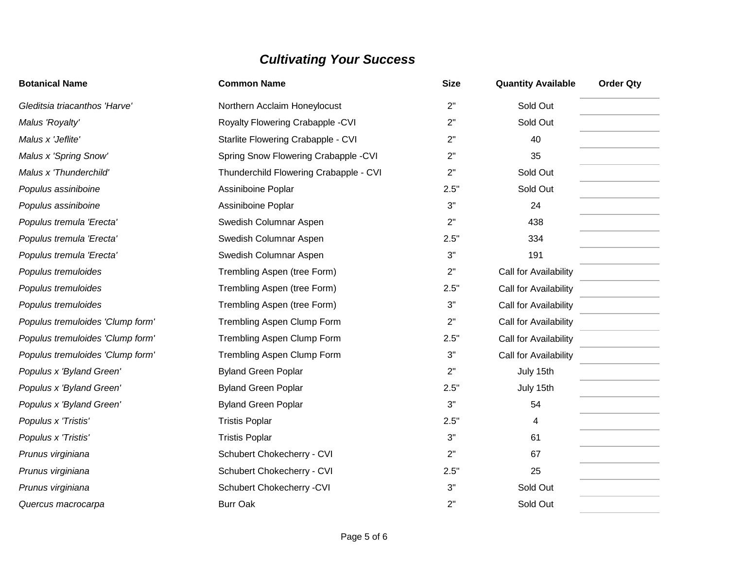| <b>Botanical Name</b>            | <b>Common Name</b>                     | <b>Size</b> | <b>Quantity Available</b> | <b>Order Qty</b> |
|----------------------------------|----------------------------------------|-------------|---------------------------|------------------|
| Gleditsia triacanthos 'Harve'    | Northern Acclaim Honeylocust           | 2"          | Sold Out                  |                  |
| Malus 'Royalty'                  | Royalty Flowering Crabapple - CVI      | 2"          | Sold Out                  |                  |
| Malus x 'Jeflite'                | Starlite Flowering Crabapple - CVI     | 2"          | 40                        |                  |
| Malus x 'Spring Snow'            | Spring Snow Flowering Crabapple -CVI   | 2"          | 35                        |                  |
| Malus x 'Thunderchild'           | Thunderchild Flowering Crabapple - CVI | 2"          | Sold Out                  |                  |
| Populus assiniboine              | Assiniboine Poplar                     | 2.5"        | Sold Out                  |                  |
| Populus assiniboine              | Assiniboine Poplar                     | 3"          | 24                        |                  |
| Populus tremula 'Erecta'         | Swedish Columnar Aspen                 | 2"          | 438                       |                  |
| Populus tremula 'Erecta'         | Swedish Columnar Aspen                 | 2.5"        | 334                       |                  |
| Populus tremula 'Erecta'         | Swedish Columnar Aspen                 | 3"          | 191                       |                  |
| Populus tremuloides              | Trembling Aspen (tree Form)            | 2"          | Call for Availability     |                  |
| Populus tremuloides              | Trembling Aspen (tree Form)            | 2.5"        | Call for Availability     |                  |
| Populus tremuloides              | Trembling Aspen (tree Form)            | 3"          | Call for Availability     |                  |
| Populus tremuloides 'Clump form' | <b>Trembling Aspen Clump Form</b>      | 2"          | Call for Availability     |                  |
| Populus tremuloides 'Clump form' | Trembling Aspen Clump Form             | 2.5"        | Call for Availability     |                  |
| Populus tremuloides 'Clump form' | <b>Trembling Aspen Clump Form</b>      | 3"          | Call for Availability     |                  |
| Populus x 'Byland Green'         | <b>Byland Green Poplar</b>             | 2"          | July 15th                 |                  |
| Populus x 'Byland Green'         | <b>Byland Green Poplar</b>             | 2.5"        | July 15th                 |                  |
| Populus x 'Byland Green'         | <b>Byland Green Poplar</b>             | 3"          | 54                        |                  |
| Populus x 'Tristis'              | <b>Tristis Poplar</b>                  | 2.5"        | 4                         |                  |
| Populus x 'Tristis'              | <b>Tristis Poplar</b>                  | 3"          | 61                        |                  |
| Prunus virginiana                | Schubert Chokecherry - CVI             | 2"          | 67                        |                  |
| Prunus virginiana                | Schubert Chokecherry - CVI             | 2.5"        | 25                        |                  |
| Prunus virginiana                | Schubert Chokecherry - CVI             | 3"          | Sold Out                  |                  |
| Quercus macrocarpa               | <b>Burr Oak</b>                        | 2"          | Sold Out                  |                  |